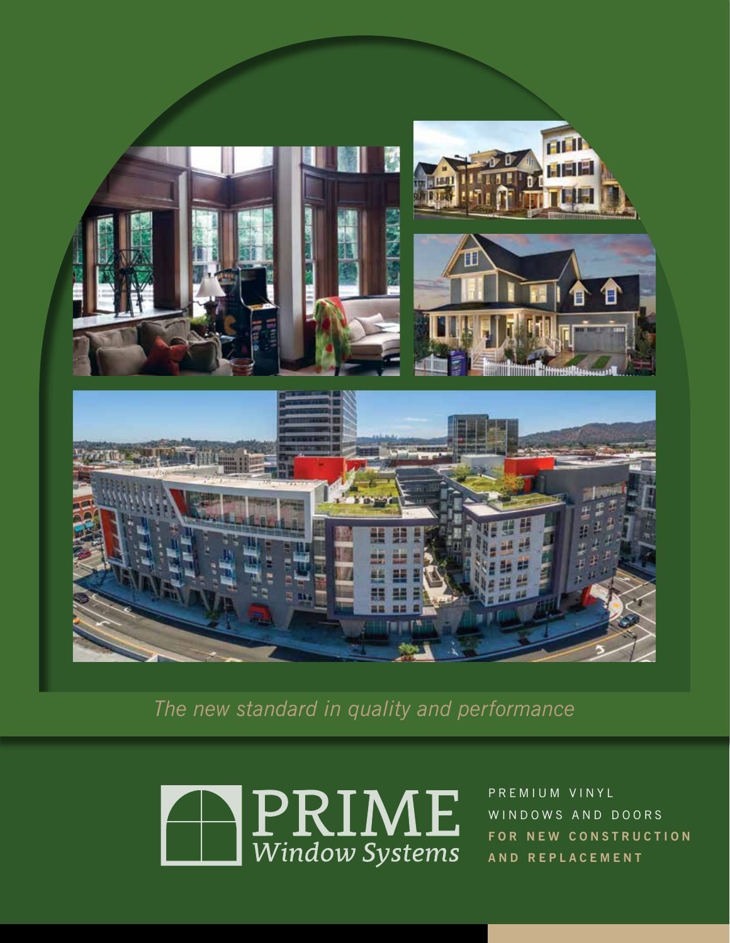

*The new standard in quality and performance*



P R E M I U M V I N Y L WINDOWS AND DOORS **FOR NEW CONSTRUCTION A N D R E P L A C E M E N T**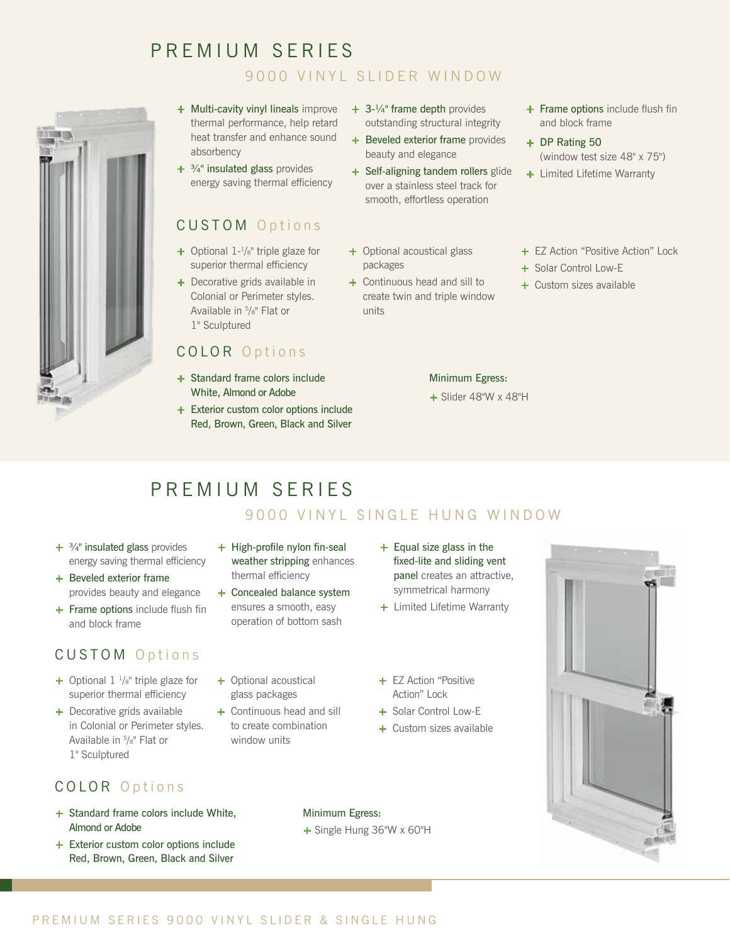# PREMIUM SERIES 9000 VINYL SLIDER WINDOW



- **+** Multi-cavity vinyl lineals improve thermal performance, help retard heat transfer and enhance sound absorbency
- **+** ¾" insulated glass provides energy saving thermal efficiency

#### CUSTOM Options

- **+** Optional 1-1/8" triple glaze for superior thermal efficiency
- **+** Decorative grids available in Colonial or Perimeter styles. Available in 5 /8" Flat or 1" Sculptured

## COLOR Options

- **+** Standard frame colors include White, Almond or Adobe
- **+** Exterior custom color options include Red, Brown, Green, Black and Silver
- **+** 3-¼" frame depth provides outstanding structural integrity
- **+** Beveled exterior frame provides beauty and elegance
- **+** Self-aligning tandem rollers glide over a stainless steel track for smooth, effortless operation
- **+** Optional acoustical glass packages
- **+** Continuous head and sill to create twin and triple window units
- **+** Frame options include flush fin and block frame
- **+** DP Rating 50 (window test size 48" x 75")
- **+** Limited Lifetime Warranty
- **+** EZ Action "Positive Action" Lock
- **+** Solar Control Low-E
- **+** Custom sizes available

#### Minimum Egress:

**+** Slider 48"W x 48"H

# PREMIUM SERIES

## 9000 VINYL SINGLE HUNG WINDOW

- **+** ¾" insulated glass provides energy saving thermal efficiency
- **+** Beveled exterior frame provides beauty and elegance
- **+** Frame options include flush fin and block frame

# CUSTOM Options

- **+** Optional 1 1/8" triple glaze for superior thermal efficiency
- **+** Decorative grids available in Colonial or Perimeter styles. Available in 5 /8" Flat or 1" Sculptured

## COLOR Options

- **+** Standard frame colors include White, Almond or Adobe
- **+** Exterior custom color options include Red, Brown, Green, Black and Silver
- **+** High-profile nylon fin-seal weather stripping enhances thermal efficiency
- **+** Concealed balance system ensures a smooth, easy operation of bottom sash
- **+** Optional acoustical glass packages
- **+** Continuous head and sill to create combination window units
- **+** Equal size glass in the fixed-lite and sliding vent panel creates an attractive, symmetrical harmony
- **+** Limited Lifetime Warranty
- **+** EZ Action "Positive Action" Lock
- **+** Solar Control Low-E
- **+** Custom sizes available



Minimum Egress:

**+** Single Hung 36"W x 60"H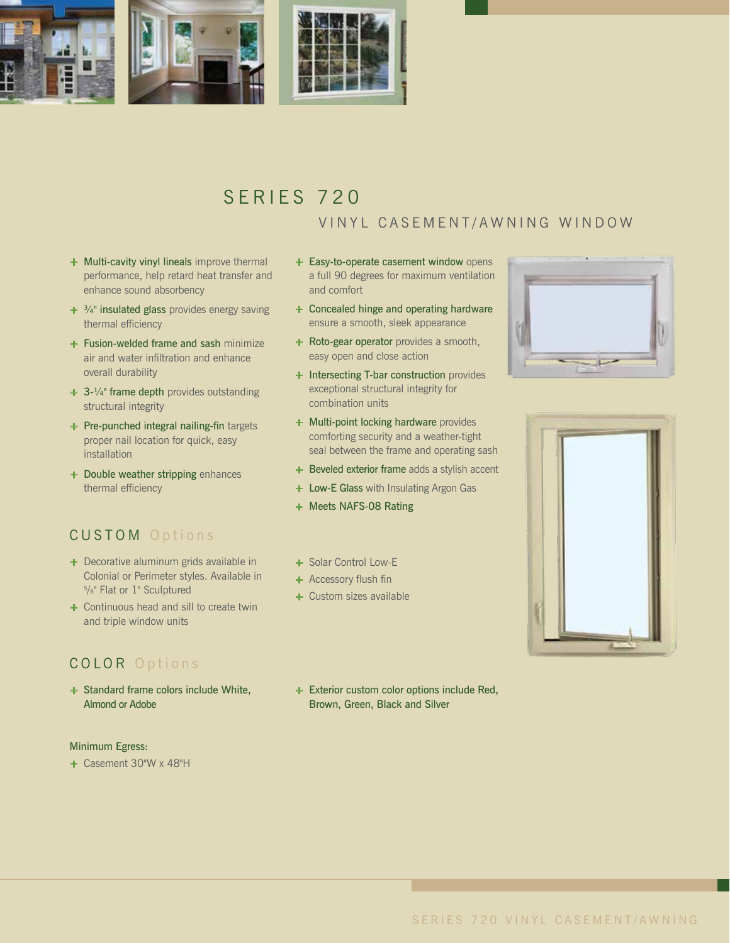

# SERIES 720 VINYL CASEMENT/AWNING WINDOW

- **+** Multi-cavity vinyl lineals improve thermal performance, help retard heat transfer and enhance sound absorbency
- **+** ¾" insulated glass provides energy saving thermal efficiency
- **+** Fusion-welded frame and sash minimize air and water infiltration and enhance overall durability
- **+** 3-¼" frame depth provides outstanding structural integrity
- **+** Pre-punched integral nailing-fin targets proper nail location for quick, easy installation
- **+** Double weather stripping enhances thermal efficiency

## CUSTOM Options

- **+** Decorative aluminum grids available in Colonial or Perimeter styles. Available in 5 /8" Flat or 1" Sculptured
- **+** Continuous head and sill to create twin and triple window units

#### COLOR Options

**+** Standard frame colors include White, Almond or Adobe

#### Minimum Egress:

**+** Casement 30"W x 48"H

- **+** Easy-to-operate casement window opens a full 90 degrees for maximum ventilation and comfort
- **+** Concealed hinge and operating hardware ensure a smooth, sleek appearance
- **+** Roto-gear operator provides a smooth, easy open and close action
- **+** Intersecting T-bar construction provides exceptional structural integrity for combination units
- **+** Multi-point locking hardware provides comforting security and a weather-tight seal between the frame and operating sash
- **+** Beveled exterior frame adds a stylish accent
- **+** Low-E Glass with Insulating Argon Gas
- **+** Meets NAFS-08 Rating
- **+** Solar Control Low-E
- **+** Accessory flush fin
- **+** Custom sizes available





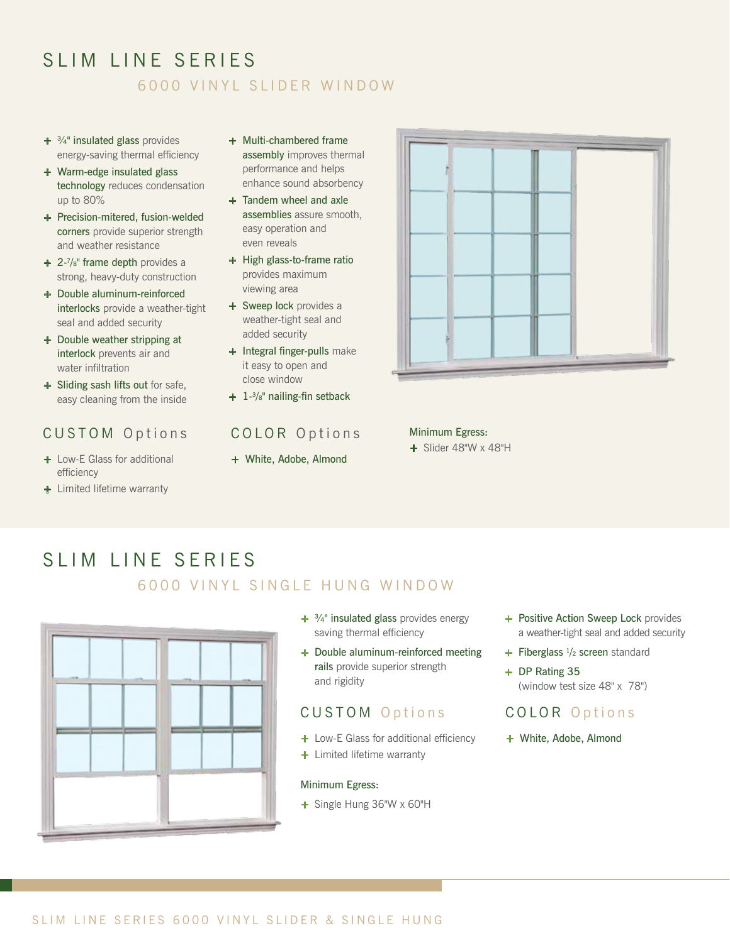# SLIM LINE SERIFS 6000 VINYL SLIDER WINDOW

- **+** ¾" insulated glass provides energy-saving thermal efficiency
- **+** Warm-edge insulated glass technology reduces condensation up to 80%
- **+** Precision-mitered, fusion-welded corners provide superior strength and weather resistance
- **+** 2-7 /8" frame depth provides a strong, heavy-duty construction
- **+** Double aluminum-reinforced interlocks provide a weather-tight seal and added security
- **+** Double weather stripping at interlock prevents air and water infiltration
- **+** Sliding sash lifts out for safe, easy cleaning from the inside

#### CUSTOM Options

- **+** Low-E Glass for additional efficiency
- **+** Limited lifetime warranty
- **+** Multi-chambered frame assembly improves thermal performance and helps enhance sound absorbency
- **+** Tandem wheel and axle assemblies assure smooth, easy operation and even reveals
- **+** High glass-to-frame ratio provides maximum viewing area
- **+** Sweep lock provides a weather-tight seal and added security
- **+** Integral finger-pulls make it easy to open and close window
- **+** 1-3/8" nailing-fin setback

# COLOR Options

**+** White, Adobe, Almond



Minimum Egress: **+** Slider 48"W x 48"H

# SLIM LINE SERIES

## 6000 VINYL SINGLE HUNG WINDOW



- **+** ¾" insulated glass provides energy saving thermal efficiency
- **+** Double aluminum-reinforced meeting rails provide superior strength and rigidity

#### CUSTOM Options

- **+** Low-E Glass for additional efficiency
- **+** Limited lifetime warranty

#### Minimum Egress:

**+** Single Hung 36"W x 60"H

- **+** Positive Action Sweep Lock provides a weather-tight seal and added security
- **+** Fiberglass 1/2 screen standard
- **+** DP Rating 35 (window test size 48" x 78")

#### COLOR Options

**+** White, Adobe, Almond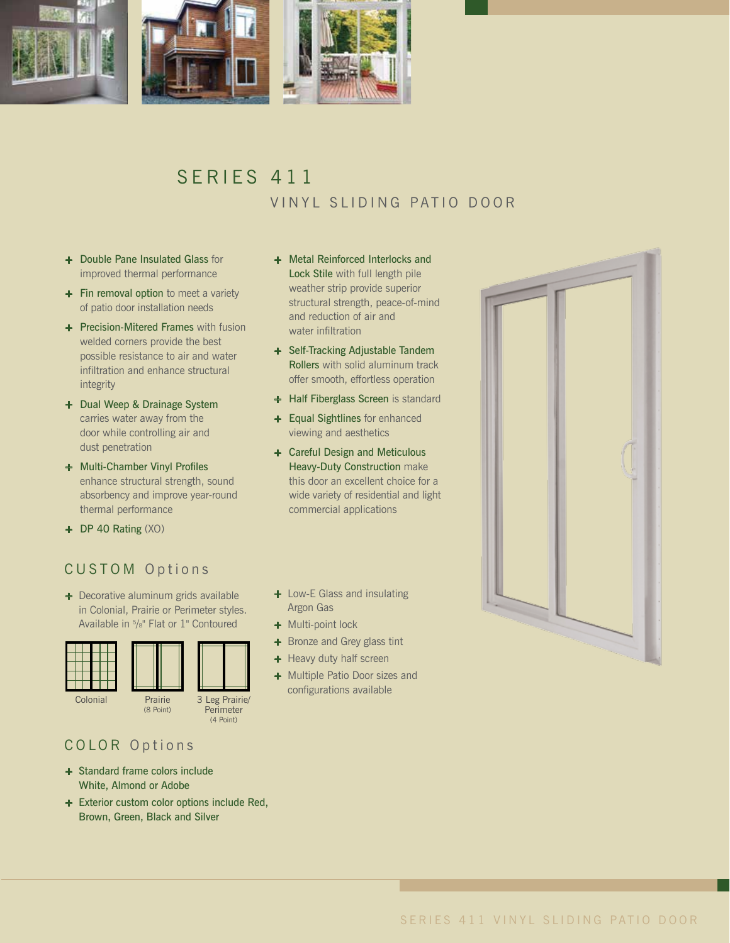

# SERIES 411 VINYL SLIDING PATIO DOOR

- **+** Double Pane Insulated Glass for improved thermal performance
- **+** Fin removal option to meet a variety of patio door installation needs
- **+** Precision-Mitered Frames with fusion welded corners provide the best possible resistance to air and water infiltration and enhance structural integrity
- **+** Dual Weep & Drainage System carries water away from the door while controlling air and dust penetration
- **+** Multi-Chamber Vinyl Profiles enhance structural strength, sound absorbency and improve year-round thermal performance
- **+** DP 40 Rating (XO)

## CUSTOM Options

**+** Decorative aluminum grids available in Colonial, Prairie or Perimeter styles. Available in 5 /8" Flat or 1" Contoured



#### COLOR Options

- **+** Standard frame colors include White, Almond or Adobe
- **+** Exterior custom color options include Red, Brown, Green, Black and Silver
- **+** Metal Reinforced Interlocks and Lock Stile with full length pile weather strip provide superior structural strength, peace-of-mind and reduction of air and water infiltration
- **+** Self-Tracking Adjustable Tandem Rollers with solid aluminum track offer smooth, effortless operation
- **+** Half Fiberglass Screen is standard
- **+** Equal Sightlines for enhanced viewing and aesthetics
- **+** Careful Design and Meticulous Heavy-Duty Construction make this door an excellent choice for a wide variety of residential and light commercial applications
- **+** Low-E Glass and insulating Argon Gas
- **+** Multi-point lock
- **+** Bronze and Grey glass tint
- **+** Heavy duty half screen
- **+** Multiple Patio Door sizes and configurations available

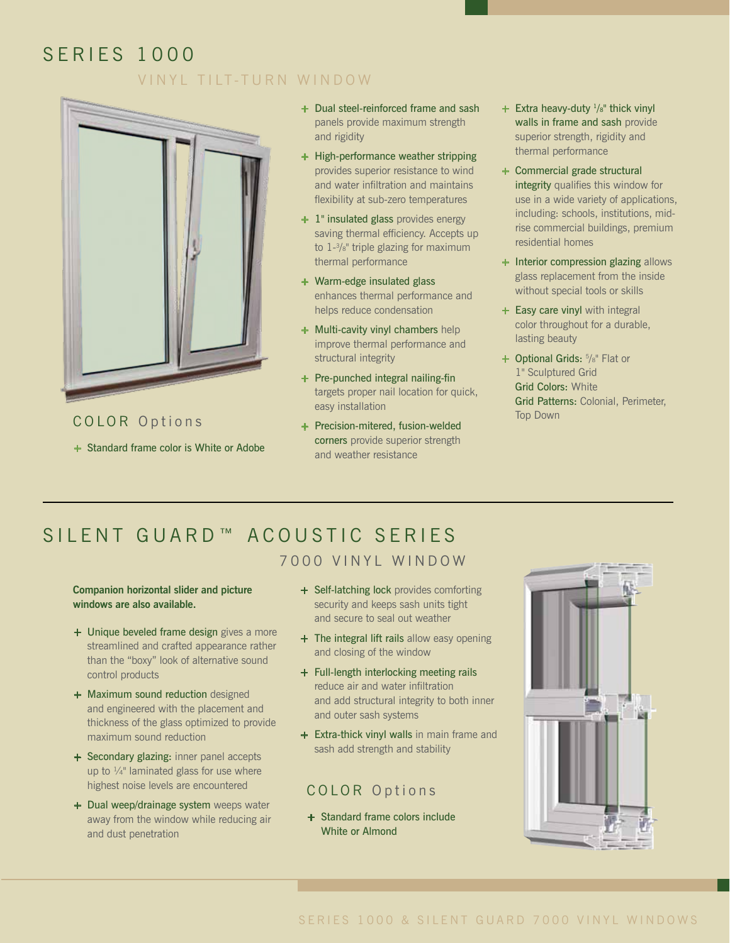# SERIES 1000 VINYL TILT-TURN WINDOW



Top Down<br>COLOR Options + Precision-mitered fusion-welded **+** Standard frame color is White or Adobe

- **+** Dual steel-reinforced frame and sash panels provide maximum strength and rigidity
- **+** High-performance weather stripping provides superior resistance to wind and water infiltration and maintains flexibility at sub-zero temperatures
- **+** 1" insulated glass provides energy saving thermal efficiency. Accepts up to 1-3/8" triple glazing for maximum thermal performance
- **+** Warm-edge insulated glass enhances thermal performance and helps reduce condensation
- **+** Multi-cavity vinyl chambers help improve thermal performance and structural integrity
- **+** Pre-punched integral nailing-fin targets proper nail location for quick, easy installation
- **+** Precision-mitered, fusion-welded corners provide superior strength and weather resistance
- **+** Extra heavy-duty  $\frac{1}{8}$ " thick vinyl walls in frame and sash provide superior strength, rigidity and thermal performance
- **+** Commercial grade structural integrity qualifies this window for use in a wide variety of applications, including: schools, institutions, midrise commercial buildings, premium residential homes
- **+** Interior compression glazing allows glass replacement from the inside without special tools or skills
- **+ Easy care vinyl** with integral color throughout for a durable, lasting beauty
- + Optional Grids:  $\frac{5}{8}$ " Flat or 1" Sculptured Grid Grid Colors: White Grid Patterns: Colonial, Perimeter,

# SILENT GUARD™ ACOUSTIC SERIES

#### 7000 VINYL WINDOW

**Companion horizontal slider and picture windows are also available.**

- **+** Unique beveled frame design gives a more streamlined and crafted appearance rather than the "boxy" look of alternative sound control products
- **+** Maximum sound reduction designed and engineered with the placement and thickness of the glass optimized to provide maximum sound reduction
- **+** Secondary glazing: inner panel accepts up to  $\frac{1}{4}$ " laminated glass for use where highest noise levels are encountered
- **+** Dual weep/drainage system weeps water away from the window while reducing air and dust penetration
- **+** Self-latching lock provides comforting security and keeps sash units tight and secure to seal out weather
- **+** The integral lift rails allow easy opening and closing of the window
- **+** Full-length interlocking meeting rails reduce air and water infiltration and add structural integrity to both inner and outer sash systems
- **+** Extra-thick vinyl walls in main frame and sash add strength and stability

#### COLOR Options

**+** Standard frame colors include White or Almond